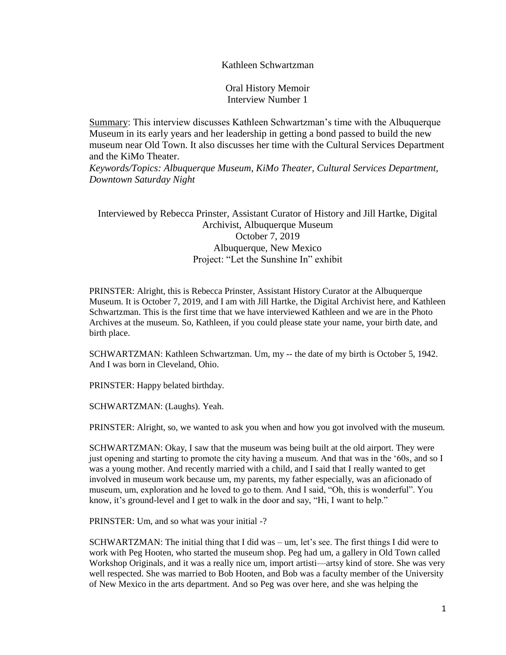# Kathleen Schwartzman

Oral History Memoir Interview Number 1

Summary: This interview discusses Kathleen Schwartzman's time with the Albuquerque Museum in its early years and her leadership in getting a bond passed to build the new museum near Old Town. It also discusses her time with the Cultural Services Department and the KiMo Theater.

*Keywords/Topics: Albuquerque Museum, KiMo Theater, Cultural Services Department, Downtown Saturday Night*

Interviewed by Rebecca Prinster, Assistant Curator of History and Jill Hartke, Digital Archivist, Albuquerque Museum October 7, 2019 Albuquerque, New Mexico Project: "Let the Sunshine In" exhibit

PRINSTER: Alright, this is Rebecca Prinster, Assistant History Curator at the Albuquerque Museum. It is October 7, 2019, and I am with Jill Hartke, the Digital Archivist here, and Kathleen Schwartzman. This is the first time that we have interviewed Kathleen and we are in the Photo Archives at the museum. So, Kathleen, if you could please state your name, your birth date, and birth place.

SCHWARTZMAN: Kathleen Schwartzman. Um, my -- the date of my birth is October 5, 1942. And I was born in Cleveland, Ohio.

PRINSTER: Happy belated birthday.

SCHWARTZMAN: (Laughs). Yeah.

PRINSTER: Alright, so, we wanted to ask you when and how you got involved with the museum.

SCHWARTZMAN: Okay, I saw that the museum was being built at the old airport. They were just opening and starting to promote the city having a museum. And that was in the '60s, and so I was a young mother. And recently married with a child, and I said that I really wanted to get involved in museum work because um, my parents, my father especially, was an aficionado of museum, um, exploration and he loved to go to them. And I said, "Oh, this is wonderful". You know, it's ground-level and I get to walk in the door and say, "Hi, I want to help."

PRINSTER: Um, and so what was your initial -?

SCHWARTZMAN: The initial thing that I did was – um, let's see. The first things I did were to work with Peg Hooten, who started the museum shop. Peg had um, a gallery in Old Town called Workshop Originals, and it was a really nice um, import artisti—artsy kind of store. She was very well respected. She was married to Bob Hooten, and Bob was a faculty member of the University of New Mexico in the arts department. And so Peg was over here, and she was helping the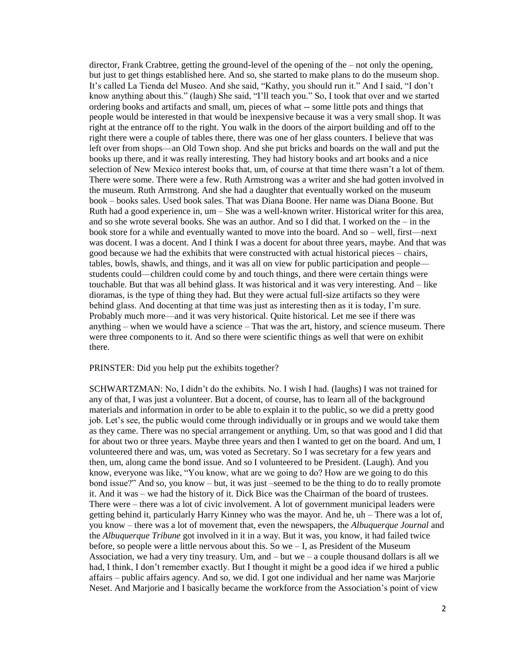director, Frank Crabtree, getting the ground-level of the opening of the – not only the opening, but just to get things established here. And so, she started to make plans to do the museum shop. It's called La Tienda del Museo. And she said, "Kathy, you should run it." And I said, "I don't know anything about this." (laugh) She said, "I'll teach you." So, I took that over and we started ordering books and artifacts and small, um, pieces of what -- some little pots and things that people would be interested in that would be inexpensive because it was a very small shop. It was right at the entrance off to the right. You walk in the doors of the airport building and off to the right there were a couple of tables there, there was one of her glass counters. I believe that was left over from shops—an Old Town shop. And she put bricks and boards on the wall and put the books up there, and it was really interesting. They had history books and art books and a nice selection of New Mexico interest books that, um, of course at that time there wasn't a lot of them. There were some. There were a few. Ruth Armstrong was a writer and she had gotten involved in the museum. Ruth Armstrong. And she had a daughter that eventually worked on the museum book – books sales. Used book sales. That was Diana Boone. Her name was Diana Boone. But Ruth had a good experience in,  $um - She$  was a well-known writer. Historical writer for this area, and so she wrote several books. She was an author. And so I did that. I worked on the – in the book store for a while and eventually wanted to move into the board. And so – well, first—next was docent. I was a docent. And I think I was a docent for about three years, maybe. And that was good because we had the exhibits that were constructed with actual historical pieces – chairs, tables, bowls, shawls, and things, and it was all on view for public participation and people students could—children could come by and touch things, and there were certain things were touchable. But that was all behind glass. It was historical and it was very interesting. And – like dioramas, is the type of thing they had. But they were actual full-size artifacts so they were behind glass. And docenting at that time was just as interesting then as it is today, I'm sure. Probably much more—and it was very historical. Quite historical. Let me see if there was anything – when we would have a science – That was the art, history, and science museum. There were three components to it. And so there were scientific things as well that were on exhibit there.

### PRINSTER: Did you help put the exhibits together?

SCHWARTZMAN: No, I didn't do the exhibits. No. I wish I had. (laughs) I was not trained for any of that, I was just a volunteer. But a docent, of course, has to learn all of the background materials and information in order to be able to explain it to the public, so we did a pretty good job. Let's see, the public would come through individually or in groups and we would take them as they came. There was no special arrangement or anything. Um, so that was good and I did that for about two or three years. Maybe three years and then I wanted to get on the board. And um, I volunteered there and was, um, was voted as Secretary. So I was secretary for a few years and then, um, along came the bond issue. And so I volunteered to be President. (Laugh). And you know, everyone was like, "You know, what are we going to do? How are we going to do this bond issue?" And so, you know – but, it was just –seemed to be the thing to do to really promote it. And it was – we had the history of it. Dick Bice was the Chairman of the board of trustees. There were – there was a lot of civic involvement. A lot of government municipal leaders were getting behind it, particularly Harry Kinney who was the mayor. And he, uh – There was a lot of, you know – there was a lot of movement that, even the newspapers, the *Albuquerque Journal* and the *Albuquerque Tribune* got involved in it in a way. But it was, you know, it had failed twice before, so people were a little nervous about this. So we – I, as President of the Museum Association, we had a very tiny treasury. Um, and  $-$  but we  $-$  a couple thousand dollars is all we had, I think, I don't remember exactly. But I thought it might be a good idea if we hired a public affairs – public affairs agency. And so, we did. I got one individual and her name was Marjorie Neset. And Marjorie and I basically became the workforce from the Association's point of view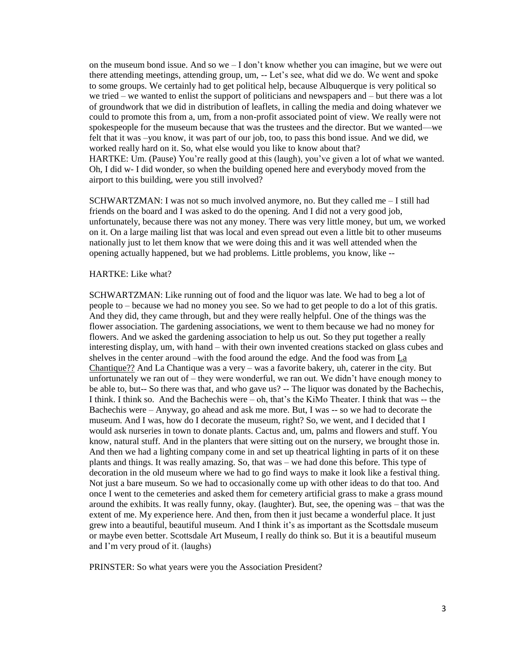on the museum bond issue. And so we – I don't know whether you can imagine, but we were out there attending meetings, attending group, um, -- Let's see, what did we do. We went and spoke to some groups. We certainly had to get political help, because Albuquerque is very political so we tried – we wanted to enlist the support of politicians and newspapers and – but there was a lot of groundwork that we did in distribution of leaflets, in calling the media and doing whatever we could to promote this from a, um, from a non-profit associated point of view. We really were not spokespeople for the museum because that was the trustees and the director. But we wanted—we felt that it was –you know, it was part of our job, too, to pass this bond issue. And we did, we worked really hard on it. So, what else would you like to know about that? HARTKE: Um. (Pause) You're really good at this (laugh), you've given a lot of what we wanted. Oh, I did w- I did wonder, so when the building opened here and everybody moved from the airport to this building, were you still involved?

SCHWARTZMAN: I was not so much involved anymore, no. But they called me – I still had friends on the board and I was asked to do the opening. And I did not a very good job, unfortunately, because there was not any money. There was very little money, but um, we worked on it. On a large mailing list that was local and even spread out even a little bit to other museums nationally just to let them know that we were doing this and it was well attended when the opening actually happened, but we had problems. Little problems, you know, like --

### HARTKE: Like what?

SCHWARTZMAN: Like running out of food and the liquor was late. We had to beg a lot of people to – because we had no money you see. So we had to get people to do a lot of this gratis. And they did, they came through, but and they were really helpful. One of the things was the flower association. The gardening associations, we went to them because we had no money for flowers. And we asked the gardening association to help us out. So they put together a really interesting display, um, with hand – with their own invented creations stacked on glass cubes and shelves in the center around –with the food around the edge. And the food was from La Chantique?? And La Chantique was a very – was a favorite bakery, uh, caterer in the city. But unfortunately we ran out of – they were wonderful, we ran out. We didn't have enough money to be able to, but-- So there was that, and who gave us? -- The liquor was donated by the Bachechis, I think. I think so. And the Bachechis were – oh, that's the KiMo Theater. I think that was -- the Bachechis were – Anyway, go ahead and ask me more. But, I was -- so we had to decorate the museum. And I was, how do I decorate the museum, right? So, we went, and I decided that I would ask nurseries in town to donate plants. Cactus and, um, palms and flowers and stuff. You know, natural stuff. And in the planters that were sitting out on the nursery, we brought those in. And then we had a lighting company come in and set up theatrical lighting in parts of it on these plants and things. It was really amazing. So, that was – we had done this before. This type of decoration in the old museum where we had to go find ways to make it look like a festival thing. Not just a bare museum. So we had to occasionally come up with other ideas to do that too. And once I went to the cemeteries and asked them for cemetery artificial grass to make a grass mound around the exhibits. It was really funny, okay. (laughter). But, see, the opening was – that was the extent of me. My experience here. And then, from then it just became a wonderful place. It just grew into a beautiful, beautiful museum. And I think it's as important as the Scottsdale museum or maybe even better. Scottsdale Art Museum, I really do think so. But it is a beautiful museum and I'm very proud of it. (laughs)

PRINSTER: So what years were you the Association President?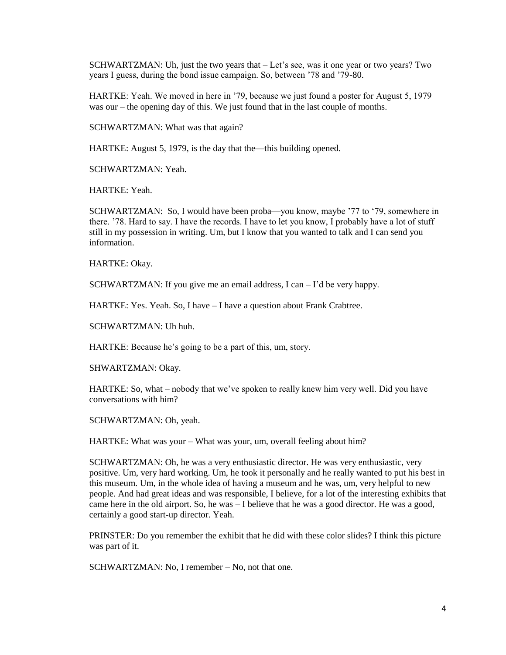SCHWARTZMAN: Uh, just the two years that – Let's see, was it one year or two years? Two years I guess, during the bond issue campaign. So, between '78 and '79-80.

HARTKE: Yeah. We moved in here in '79, because we just found a poster for August 5, 1979 was our – the opening day of this. We just found that in the last couple of months.

SCHWARTZMAN: What was that again?

HARTKE: August 5, 1979, is the day that the—this building opened.

SCHWARTZMAN: Yeah.

HARTKE: Yeah.

SCHWARTZMAN: So, I would have been proba—you know, maybe '77 to '79, somewhere in there. '78. Hard to say. I have the records. I have to let you know, I probably have a lot of stuff still in my possession in writing. Um, but I know that you wanted to talk and I can send you information.

HARTKE: Okay.

SCHWARTZMAN: If you give me an email address, I can – I'd be very happy.

HARTKE: Yes. Yeah. So, I have – I have a question about Frank Crabtree.

SCHWARTZMAN: Uh huh.

HARTKE: Because he's going to be a part of this, um, story.

SHWARTZMAN: Okay.

HARTKE: So, what – nobody that we've spoken to really knew him very well. Did you have conversations with him?

SCHWARTZMAN: Oh, yeah.

HARTKE: What was your – What was your, um, overall feeling about him?

SCHWARTZMAN: Oh, he was a very enthusiastic director. He was very enthusiastic, very positive. Um, very hard working. Um, he took it personally and he really wanted to put his best in this museum. Um, in the whole idea of having a museum and he was, um, very helpful to new people. And had great ideas and was responsible, I believe, for a lot of the interesting exhibits that came here in the old airport. So, he was – I believe that he was a good director. He was a good, certainly a good start-up director. Yeah.

PRINSTER: Do you remember the exhibit that he did with these color slides? I think this picture was part of it.

SCHWARTZMAN: No, I remember – No, not that one.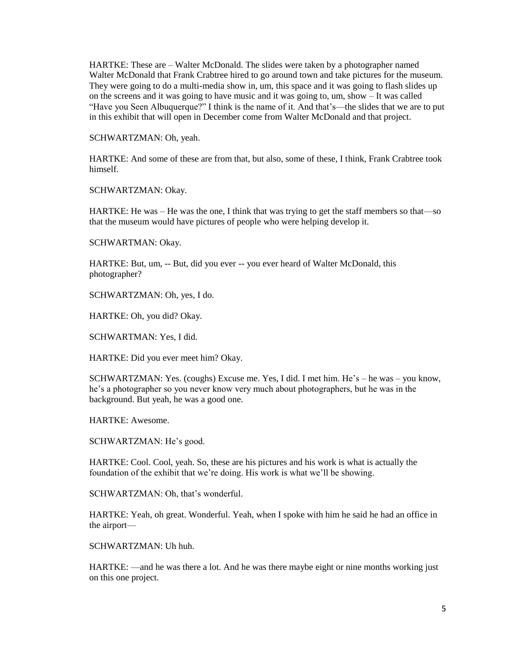HARTKE: These are – Walter McDonald. The slides were taken by a photographer named Walter McDonald that Frank Crabtree hired to go around town and take pictures for the museum. They were going to do a multi-media show in, um, this space and it was going to flash slides up on the screens and it was going to have music and it was going to, um, show – It was called "Have you Seen Albuquerque?" I think is the name of it. And that's—the slides that we are to put in this exhibit that will open in December come from Walter McDonald and that project.

SCHWARTZMAN: Oh, yeah.

HARTKE: And some of these are from that, but also, some of these, I think, Frank Crabtree took himself.

SCHWARTZMAN: Okay.

HARTKE: He was – He was the one, I think that was trying to get the staff members so that—so that the museum would have pictures of people who were helping develop it.

SCHWARTMAN: Okay.

HARTKE: But, um, -- But, did you ever -- you ever heard of Walter McDonald, this photographer?

SCHWARTZMAN: Oh, yes, I do.

HARTKE: Oh, you did? Okay.

SCHWARTMAN: Yes, I did.

HARTKE: Did you ever meet him? Okay.

SCHWARTZMAN: Yes. (coughs) Excuse me. Yes, I did. I met him. He's – he was – you know, he's a photographer so you never know very much about photographers, but he was in the background. But yeah, he was a good one.

HARTKE: Awesome.

SCHWARTZMAN: He's good.

HARTKE: Cool. Cool, yeah. So, these are his pictures and his work is what is actually the foundation of the exhibit that we're doing. His work is what we'll be showing.

SCHWARTZMAN: Oh, that's wonderful.

HARTKE: Yeah, oh great. Wonderful. Yeah, when I spoke with him he said he had an office in the airport—

SCHWARTZMAN: Uh huh.

HARTKE: —and he was there a lot. And he was there maybe eight or nine months working just on this one project.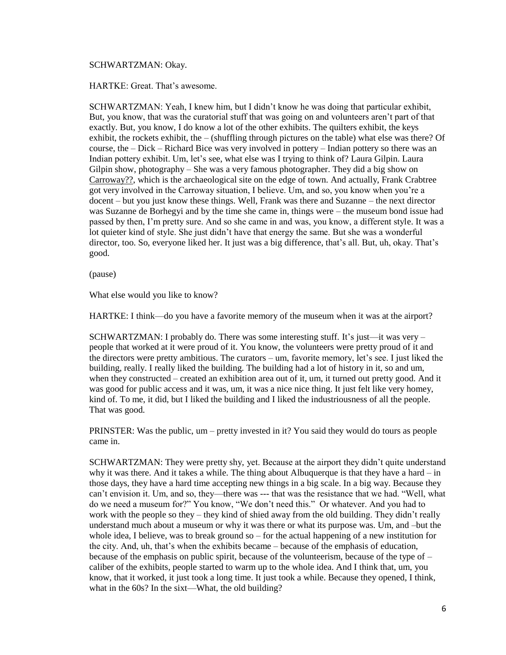### SCHWARTZMAN: Okay.

HARTKE: Great. That's awesome.

SCHWARTZMAN: Yeah, I knew him, but I didn't know he was doing that particular exhibit, But, you know, that was the curatorial stuff that was going on and volunteers aren't part of that exactly. But, you know, I do know a lot of the other exhibits. The quilters exhibit, the keys exhibit, the rockets exhibit, the – (shuffling through pictures on the table) what else was there? Of course, the – Dick – Richard Bice was very involved in pottery – Indian pottery so there was an Indian pottery exhibit. Um, let's see, what else was I trying to think of? Laura Gilpin. Laura Gilpin show, photography – She was a very famous photographer. They did a big show on Carroway??, which is the archaeological site on the edge of town. And actually, Frank Crabtree got very involved in the Carroway situation, I believe. Um, and so, you know when you're a docent – but you just know these things. Well, Frank was there and Suzanne – the next director was Suzanne de Borhegyi and by the time she came in, things were – the museum bond issue had passed by then, I'm pretty sure. And so she came in and was, you know, a different style. It was a lot quieter kind of style. She just didn't have that energy the same. But she was a wonderful director, too. So, everyone liked her. It just was a big difference, that's all. But, uh, okay. That's good.

(pause)

What else would you like to know?

HARTKE: I think—do you have a favorite memory of the museum when it was at the airport?

SCHWARTZMAN: I probably do. There was some interesting stuff. It's just—it was very – people that worked at it were proud of it. You know, the volunteers were pretty proud of it and the directors were pretty ambitious. The curators – um, favorite memory, let's see. I just liked the building, really. I really liked the building. The building had a lot of history in it, so and um, when they constructed – created an exhibition area out of it, um, it turned out pretty good. And it was good for public access and it was, um, it was a nice nice thing. It just felt like very homey, kind of. To me, it did, but I liked the building and I liked the industriousness of all the people. That was good.

PRINSTER: Was the public, um – pretty invested in it? You said they would do tours as people came in.

SCHWARTZMAN: They were pretty shy, yet. Because at the airport they didn't quite understand why it was there. And it takes a while. The thing about Albuquerque is that they have a hard – in those days, they have a hard time accepting new things in a big scale. In a big way. Because they can't envision it. Um, and so, they—there was --- that was the resistance that we had. "Well, what do we need a museum for?" You know, "We don't need this." Or whatever. And you had to work with the people so they – they kind of shied away from the old building. They didn't really understand much about a museum or why it was there or what its purpose was. Um, and –but the whole idea, I believe, was to break ground so – for the actual happening of a new institution for the city. And, uh, that's when the exhibits became – because of the emphasis of education, because of the emphasis on public spirit, because of the volunteerism, because of the type of – caliber of the exhibits, people started to warm up to the whole idea. And I think that, um, you know, that it worked, it just took a long time. It just took a while. Because they opened, I think, what in the 60s? In the sixt—What, the old building?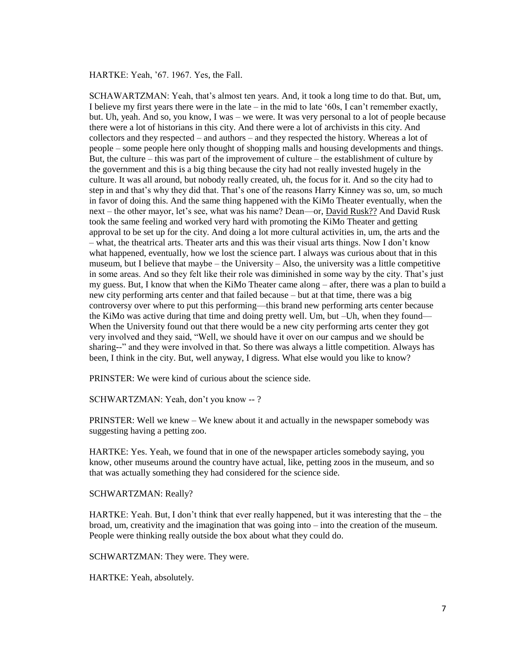HARTKE: Yeah, '67. 1967. Yes, the Fall.

SCHAWARTZMAN: Yeah, that's almost ten years. And, it took a long time to do that. But, um, I believe my first years there were in the late – in the mid to late '60s, I can't remember exactly, but. Uh, yeah. And so, you know, I was – we were. It was very personal to a lot of people because there were a lot of historians in this city. And there were a lot of archivists in this city. And collectors and they respected – and authors – and they respected the history. Whereas a lot of people – some people here only thought of shopping malls and housing developments and things. But, the culture – this was part of the improvement of culture – the establishment of culture by the government and this is a big thing because the city had not really invested hugely in the culture. It was all around, but nobody really created, uh, the focus for it. And so the city had to step in and that's why they did that. That's one of the reasons Harry Kinney was so, um, so much in favor of doing this. And the same thing happened with the KiMo Theater eventually, when the next – the other mayor, let's see, what was his name? Dean—or, David Rusk?? And David Rusk took the same feeling and worked very hard with promoting the KiMo Theater and getting approval to be set up for the city. And doing a lot more cultural activities in, um, the arts and the – what, the theatrical arts. Theater arts and this was their visual arts things. Now I don't know what happened, eventually, how we lost the science part. I always was curious about that in this museum, but I believe that maybe – the University – Also, the university was a little competitive in some areas. And so they felt like their role was diminished in some way by the city. That's just my guess. But, I know that when the KiMo Theater came along – after, there was a plan to build a new city performing arts center and that failed because – but at that time, there was a big controversy over where to put this performing—this brand new performing arts center because the KiMo was active during that time and doing pretty well. Um, but –Uh, when they found— When the University found out that there would be a new city performing arts center they got very involved and they said, "Well, we should have it over on our campus and we should be sharing--" and they were involved in that. So there was always a little competition. Always has been, I think in the city. But, well anyway, I digress. What else would you like to know?

PRINSTER: We were kind of curious about the science side.

SCHWARTZMAN: Yeah, don't you know -- ?

PRINSTER: Well we knew – We knew about it and actually in the newspaper somebody was suggesting having a petting zoo.

HARTKE: Yes. Yeah, we found that in one of the newspaper articles somebody saying, you know, other museums around the country have actual, like, petting zoos in the museum, and so that was actually something they had considered for the science side.

SCHWARTZMAN: Really?

HARTKE: Yeah. But, I don't think that ever really happened, but it was interesting that the – the broad, um, creativity and the imagination that was going into – into the creation of the museum. People were thinking really outside the box about what they could do.

SCHWARTZMAN: They were. They were.

HARTKE: Yeah, absolutely.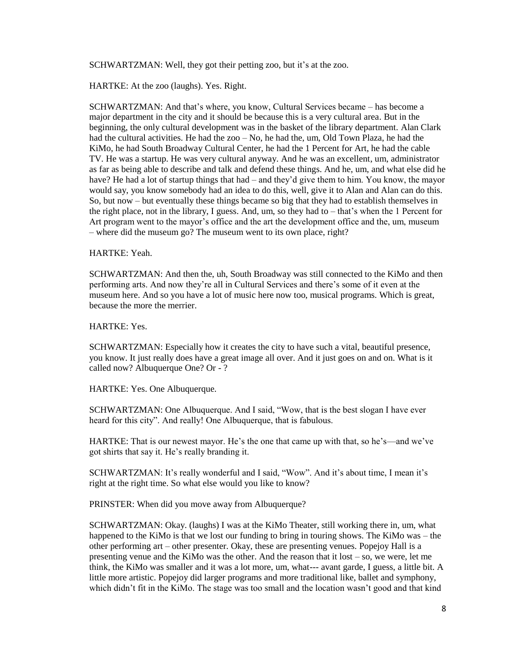SCHWARTZMAN: Well, they got their petting zoo, but it's at the zoo.

HARTKE: At the zoo (laughs). Yes. Right.

SCHWARTZMAN: And that's where, you know, Cultural Services became – has become a major department in the city and it should be because this is a very cultural area. But in the beginning, the only cultural development was in the basket of the library department. Alan Clark had the cultural activities. He had the zoo – No, he had the, um, Old Town Plaza, he had the KiMo, he had South Broadway Cultural Center, he had the 1 Percent for Art, he had the cable TV. He was a startup. He was very cultural anyway. And he was an excellent, um, administrator as far as being able to describe and talk and defend these things. And he, um, and what else did he have? He had a lot of startup things that had – and they'd give them to him. You know, the mayor would say, you know somebody had an idea to do this, well, give it to Alan and Alan can do this. So, but now – but eventually these things became so big that they had to establish themselves in the right place, not in the library, I guess. And, um, so they had to – that's when the 1 Percent for Art program went to the mayor's office and the art the development office and the, um, museum – where did the museum go? The museum went to its own place, right?

HARTKE: Yeah.

SCHWARTZMAN: And then the, uh, South Broadway was still connected to the KiMo and then performing arts. And now they're all in Cultural Services and there's some of it even at the museum here. And so you have a lot of music here now too, musical programs. Which is great, because the more the merrier.

HARTKE: Yes.

SCHWARTZMAN: Especially how it creates the city to have such a vital, beautiful presence, you know. It just really does have a great image all over. And it just goes on and on. What is it called now? Albuquerque One? Or - ?

HARTKE: Yes. One Albuquerque.

SCHWARTZMAN: One Albuquerque. And I said, "Wow, that is the best slogan I have ever heard for this city". And really! One Albuquerque, that is fabulous.

HARTKE: That is our newest mayor. He's the one that came up with that, so he's—and we've got shirts that say it. He's really branding it.

SCHWARTZMAN: It's really wonderful and I said, "Wow". And it's about time, I mean it's right at the right time. So what else would you like to know?

PRINSTER: When did you move away from Albuquerque?

SCHWARTZMAN: Okay. (laughs) I was at the KiMo Theater, still working there in, um, what happened to the KiMo is that we lost our funding to bring in touring shows. The KiMo was – the other performing art – other presenter. Okay, these are presenting venues. Popejoy Hall is a presenting venue and the KiMo was the other. And the reason that it lost – so, we were, let me think, the KiMo was smaller and it was a lot more, um, what--- avant garde, I guess, a little bit. A little more artistic. Popejoy did larger programs and more traditional like, ballet and symphony, which didn't fit in the KiMo. The stage was too small and the location wasn't good and that kind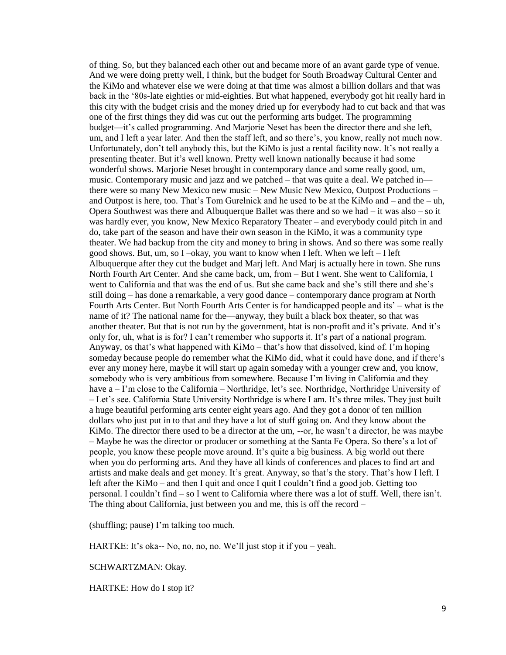of thing. So, but they balanced each other out and became more of an avant garde type of venue. And we were doing pretty well, I think, but the budget for South Broadway Cultural Center and the KiMo and whatever else we were doing at that time was almost a billion dollars and that was back in the '80s-late eighties or mid-eighties. But what happened, everybody got hit really hard in this city with the budget crisis and the money dried up for everybody had to cut back and that was one of the first things they did was cut out the performing arts budget. The programming budget—it's called programming. And Marjorie Neset has been the director there and she left, um, and I left a year later. And then the staff left, and so there's, you know, really not much now. Unfortunately, don't tell anybody this, but the KiMo is just a rental facility now. It's not really a presenting theater. But it's well known. Pretty well known nationally because it had some wonderful shows. Marjorie Neset brought in contemporary dance and some really good, um, music. Contemporary music and jazz and we patched – that was quite a deal. We patched in there were so many New Mexico new music – New Music New Mexico, Outpost Productions – and Outpost is here, too. That's Tom Gurelnick and he used to be at the KiMo and – and the – uh, Opera Southwest was there and Albuquerque Ballet was there and so we had – it was also – so it was hardly ever, you know, New Mexico Reparatory Theater – and everybody could pitch in and do, take part of the season and have their own season in the KiMo, it was a community type theater. We had backup from the city and money to bring in shows. And so there was some really good shows. But, um, so  $I$  –okay, you want to know when I left. When we left – I left Albuquerque after they cut the budget and Marj left. And Marj is actually here in town. She runs North Fourth Art Center. And she came back, um, from – But I went. She went to California, I went to California and that was the end of us. But she came back and she's still there and she's still doing – has done a remarkable, a very good dance – contemporary dance program at North Fourth Arts Center. But North Fourth Arts Center is for handicapped people and its' – what is the name of it? The national name for the—anyway, they built a black box theater, so that was another theater. But that is not run by the government, htat is non-profit and it's private. And it's only for, uh, what is is for? I can't remember who supports it. It's part of a national program. Anyway, os that's what happened with KiMo – that's how that dissolved, kind of. I'm hoping someday because people do remember what the KiMo did, what it could have done, and if there's ever any money here, maybe it will start up again someday with a younger crew and, you know, somebody who is very ambitious from somewhere. Because I'm living in California and they have a – I'm close to the California – Northridge, let's see. Northridge, Northridge University of – Let's see. California State University Northridge is where I am. It's three miles. They just built a huge beautiful performing arts center eight years ago. And they got a donor of ten million dollars who just put in to that and they have a lot of stuff going on. And they know about the KiMo. The director there used to be a director at the um, --or, he wasn't a director, he was maybe – Maybe he was the director or producer or something at the Santa Fe Opera. So there's a lot of people, you know these people move around. It's quite a big business. A big world out there when you do performing arts. And they have all kinds of conferences and places to find art and artists and make deals and get money. It's great. Anyway, so that's the story. That's how I left. I left after the KiMo – and then I quit and once I quit I couldn't find a good job. Getting too personal. I couldn't find – so I went to California where there was a lot of stuff. Well, there isn't. The thing about California, just between you and me, this is off the record –

(shuffling; pause) I'm talking too much.

HARTKE: It's oka-- No, no, no, no. We'll just stop it if you – yeah.

SCHWARTZMAN: Okay.

HARTKE: How do I stop it?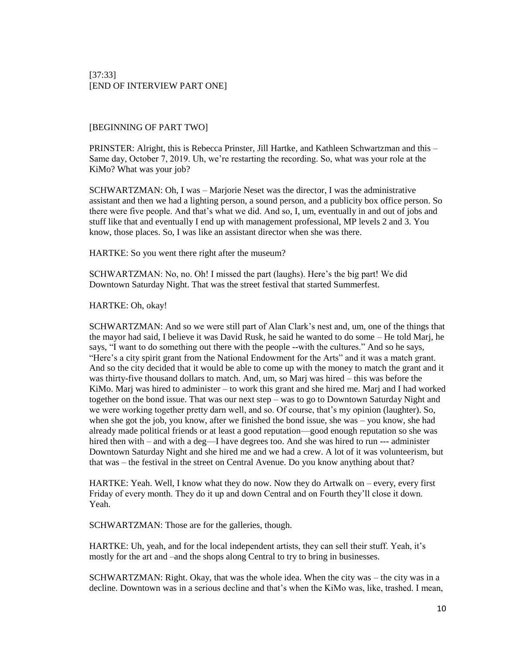# [BEGINNING OF PART TWO]

PRINSTER: Alright, this is Rebecca Prinster, Jill Hartke, and Kathleen Schwartzman and this – Same day, October 7, 2019. Uh, we're restarting the recording. So, what was your role at the KiMo? What was your job?

SCHWARTZMAN: Oh, I was – Marjorie Neset was the director, I was the administrative assistant and then we had a lighting person, a sound person, and a publicity box office person. So there were five people. And that's what we did. And so, I, um, eventually in and out of jobs and stuff like that and eventually I end up with management professional, MP levels 2 and 3. You know, those places. So, I was like an assistant director when she was there.

HARTKE: So you went there right after the museum?

SCHWARTZMAN: No, no. Oh! I missed the part (laughs). Here's the big part! We did Downtown Saturday Night. That was the street festival that started Summerfest.

HARTKE: Oh, okay!

SCHWARTZMAN: And so we were still part of Alan Clark's nest and, um, one of the things that the mayor had said, I believe it was David Rusk, he said he wanted to do some – He told Marj, he says, "I want to do something out there with the people --with the cultures." And so he says, "Here's a city spirit grant from the National Endowment for the Arts" and it was a match grant. And so the city decided that it would be able to come up with the money to match the grant and it was thirty-five thousand dollars to match. And, um, so Marj was hired – this was before the KiMo. Marj was hired to administer – to work this grant and she hired me. Marj and I had worked together on the bond issue. That was our next step – was to go to Downtown Saturday Night and we were working together pretty darn well, and so. Of course, that's my opinion (laughter). So, when she got the job, you know, after we finished the bond issue, she was – you know, she had already made political friends or at least a good reputation—good enough reputation so she was hired then with – and with a deg—I have degrees too. And she was hired to run --- administer Downtown Saturday Night and she hired me and we had a crew. A lot of it was volunteerism, but that was – the festival in the street on Central Avenue. Do you know anything about that?

HARTKE: Yeah. Well, I know what they do now. Now they do Artwalk on – every, every first Friday of every month. They do it up and down Central and on Fourth they'll close it down. Yeah.

SCHWARTZMAN: Those are for the galleries, though.

HARTKE: Uh, yeah, and for the local independent artists, they can sell their stuff. Yeah, it's mostly for the art and –and the shops along Central to try to bring in businesses.

SCHWARTZMAN: Right. Okay, that was the whole idea. When the city was – the city was in a decline. Downtown was in a serious decline and that's when the KiMo was, like, trashed. I mean,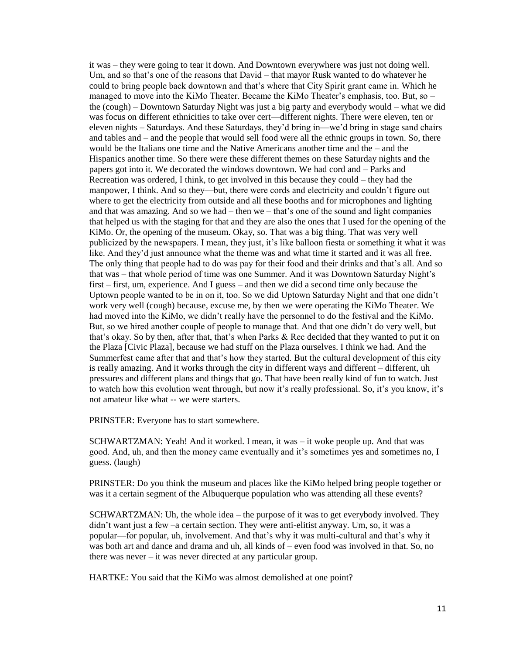it was – they were going to tear it down. And Downtown everywhere was just not doing well. Um, and so that's one of the reasons that David – that mayor Rusk wanted to do whatever he could to bring people back downtown and that's where that City Spirit grant came in. Which he managed to move into the KiMo Theater. Became the KiMo Theater's emphasis, too. But, so – the (cough) – Downtown Saturday Night was just a big party and everybody would – what we did was focus on different ethnicities to take over cert—different nights. There were eleven, ten or eleven nights – Saturdays. And these Saturdays, they'd bring in—we'd bring in stage sand chairs and tables and – and the people that would sell food were all the ethnic groups in town. So, there would be the Italians one time and the Native Americans another time and the – and the Hispanics another time. So there were these different themes on these Saturday nights and the papers got into it. We decorated the windows downtown. We had cord and – Parks and Recreation was ordered, I think, to get involved in this because they could – they had the manpower, I think. And so they—but, there were cords and electricity and couldn't figure out where to get the electricity from outside and all these booths and for microphones and lighting and that was amazing. And so we had – then we – that's one of the sound and light companies that helped us with the staging for that and they are also the ones that I used for the opening of the KiMo. Or, the opening of the museum. Okay, so. That was a big thing. That was very well publicized by the newspapers. I mean, they just, it's like balloon fiesta or something it what it was like. And they'd just announce what the theme was and what time it started and it was all free. The only thing that people had to do was pay for their food and their drinks and that's all. And so that was – that whole period of time was one Summer. And it was Downtown Saturday Night's first – first, um, experience. And I guess – and then we did a second time only because the Uptown people wanted to be in on it, too. So we did Uptown Saturday Night and that one didn't work very well (cough) because, excuse me, by then we were operating the KiMo Theater. We had moved into the KiMo, we didn't really have the personnel to do the festival and the KiMo. But, so we hired another couple of people to manage that. And that one didn't do very well, but that's okay. So by then, after that, that's when Parks & Rec decided that they wanted to put it on the Plaza [Civic Plaza], because we had stuff on the Plaza ourselves. I think we had. And the Summerfest came after that and that's how they started. But the cultural development of this city is really amazing. And it works through the city in different ways and different – different, uh pressures and different plans and things that go. That have been really kind of fun to watch. Just to watch how this evolution went through, but now it's really professional. So, it's you know, it's not amateur like what -- we were starters.

PRINSTER: Everyone has to start somewhere.

SCHWARTZMAN: Yeah! And it worked. I mean, it was – it woke people up. And that was good. And, uh, and then the money came eventually and it's sometimes yes and sometimes no, I guess. (laugh)

PRINSTER: Do you think the museum and places like the KiMo helped bring people together or was it a certain segment of the Albuquerque population who was attending all these events?

SCHWARTZMAN: Uh, the whole idea – the purpose of it was to get everybody involved. They didn't want just a few –a certain section. They were anti-elitist anyway. Um, so, it was a popular—for popular, uh, involvement. And that's why it was multi-cultural and that's why it was both art and dance and drama and uh, all kinds of – even food was involved in that. So, no there was never – it was never directed at any particular group.

HARTKE: You said that the KiMo was almost demolished at one point?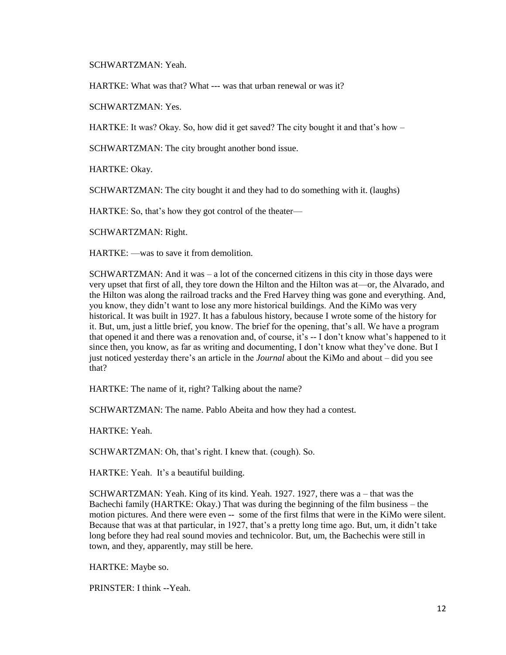SCHWARTZMAN: Yeah.

HARTKE: What was that? What --- was that urban renewal or was it?

SCHWARTZMAN: Yes.

HARTKE: It was? Okay. So, how did it get saved? The city bought it and that's how –

SCHWARTZMAN: The city brought another bond issue.

HARTKE: Okay.

SCHWARTZMAN: The city bought it and they had to do something with it. (laughs)

HARTKE: So, that's how they got control of the theater—

SCHWARTZMAN: Right.

HARTKE: —was to save it from demolition.

SCHWARTZMAN: And it was  $-$  a lot of the concerned citizens in this city in those days were very upset that first of all, they tore down the Hilton and the Hilton was at—or, the Alvarado, and the Hilton was along the railroad tracks and the Fred Harvey thing was gone and everything. And, you know, they didn't want to lose any more historical buildings. And the KiMo was very historical. It was built in 1927. It has a fabulous history, because I wrote some of the history for it. But, um, just a little brief, you know. The brief for the opening, that's all. We have a program that opened it and there was a renovation and, of course, it's -- I don't know what's happened to it since then, you know, as far as writing and documenting, I don't know what they've done. But I just noticed yesterday there's an article in the *Journal* about the KiMo and about – did you see that?

HARTKE: The name of it, right? Talking about the name?

SCHWARTZMAN: The name. Pablo Abeita and how they had a contest.

HARTKE: Yeah.

SCHWARTZMAN: Oh, that's right. I knew that. (cough). So.

HARTKE: Yeah. It's a beautiful building.

SCHWARTZMAN: Yeah. King of its kind. Yeah. 1927. 1927, there was a – that was the Bachechi family (HARTKE: Okay.) That was during the beginning of the film business – the motion pictures. And there were even -- some of the first films that were in the KiMo were silent. Because that was at that particular, in 1927, that's a pretty long time ago. But, um, it didn't take long before they had real sound movies and technicolor. But, um, the Bachechis were still in town, and they, apparently, may still be here.

HARTKE: Maybe so.

PRINSTER: I think --Yeah.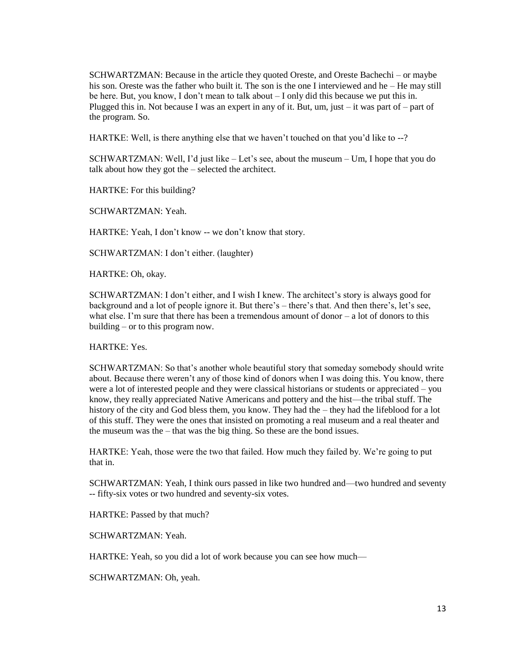SCHWARTZMAN: Because in the article they quoted Oreste, and Oreste Bachechi – or maybe his son. Oreste was the father who built it. The son is the one I interviewed and he – He may still be here. But, you know, I don't mean to talk about – I only did this because we put this in. Plugged this in. Not because I was an expert in any of it. But, um, just  $-$  it was part of  $-$  part of the program. So.

HARTKE: Well, is there anything else that we haven't touched on that you'd like to --?

SCHWARTZMAN: Well, I'd just like – Let's see, about the museum – Um, I hope that you do talk about how they got the – selected the architect.

HARTKE: For this building?

SCHWARTZMAN: Yeah.

HARTKE: Yeah, I don't know -- we don't know that story.

SCHWARTZMAN: I don't either. (laughter)

HARTKE: Oh, okay.

SCHWARTZMAN: I don't either, and I wish I knew. The architect's story is always good for background and a lot of people ignore it. But there's – there's that. And then there's, let's see, what else. I'm sure that there has been a tremendous amount of donor  $-$  a lot of donors to this building – or to this program now.

HARTKE: Yes.

SCHWARTZMAN: So that's another whole beautiful story that someday somebody should write about. Because there weren't any of those kind of donors when I was doing this. You know, there were a lot of interested people and they were classical historians or students or appreciated – you know, they really appreciated Native Americans and pottery and the hist—the tribal stuff. The history of the city and God bless them, you know. They had the – they had the lifeblood for a lot of this stuff. They were the ones that insisted on promoting a real museum and a real theater and the museum was the – that was the big thing. So these are the bond issues.

HARTKE: Yeah, those were the two that failed. How much they failed by. We're going to put that in.

SCHWARTZMAN: Yeah, I think ours passed in like two hundred and—two hundred and seventy -- fifty-six votes or two hundred and seventy-six votes.

HARTKE: Passed by that much?

SCHWARTZMAN: Yeah.

HARTKE: Yeah, so you did a lot of work because you can see how much—

SCHWARTZMAN: Oh, yeah.